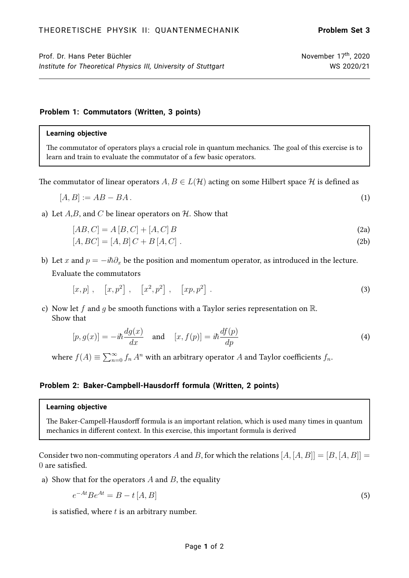# Prof. Dr. Hans Peter Büchler  $\sim$  November 17<sup>th</sup>, 2020 *Institute for Theoretical Physics III, University of Stuttgart* WS 2020/21

### **Problem 1: Commutators (Written, 3 points)**

#### **Learning objective**

The commutator of operators plays a crucial role in quantum mechanics. The goal of this exercise is to learn and train to evaluate the commutator of a few basic operators.

The commutator of linear operators  $A, B \in L(\mathcal{H})$  acting on some Hilbert space  $\mathcal H$  is defined as

$$
[A,B] := AB - BA. \tag{1}
$$

a) Let  $A, B$ , and C be linear operators on  $H$ . Show that

$$
[AB, C] = A [B, C] + [A, C] B
$$
\n
$$
[A, BC] = [A, B] C + B [A, C].
$$
\n(2a)\n(2b)

b) Let x and  $p = -i\hbar \partial_x$  be the position and momentum operator, as introduced in the lecture. Evaluate the commutators

$$
[x,p]
$$
,  $[x,p^2]$ ,  $[x^2,p^2]$ ,  $[xp,p^2]$ . (3)

c) Now let f and q be smooth functions with a Taylor series representation on  $\mathbb{R}$ . Show that

$$
[p, g(x)] = -i\hbar \frac{dg(x)}{dx} \quad \text{and} \quad [x, f(p)] = i\hbar \frac{df(p)}{dp} \tag{4}
$$

where  $f(A) \equiv \sum_{n=0}^{\infty} f_n A^n$  with an arbitrary operator  $A$  and Taylor coefficients  $f_n$ .

# **Problem 2: Baker-Campbell-Hausdorff formula (Written, 2 points)**

#### **Learning objective**

The Baker-Campell-Hausdorff formula is an important relation, which is used many times in quantum mechanics in different context. In this exercise, this important formula is derived

Consider two non-commuting operators A and B, for which the relations  $[A, [A, B]] = [B, [A, B]] =$ 0 are satisfied.

a) Show that for the operators  $A$  and  $B$ , the equality

$$
e^{-At}Be^{At} = B - t[A, B]
$$
\n
$$
(5)
$$

is satisfied, where  $t$  is an arbitrary number.